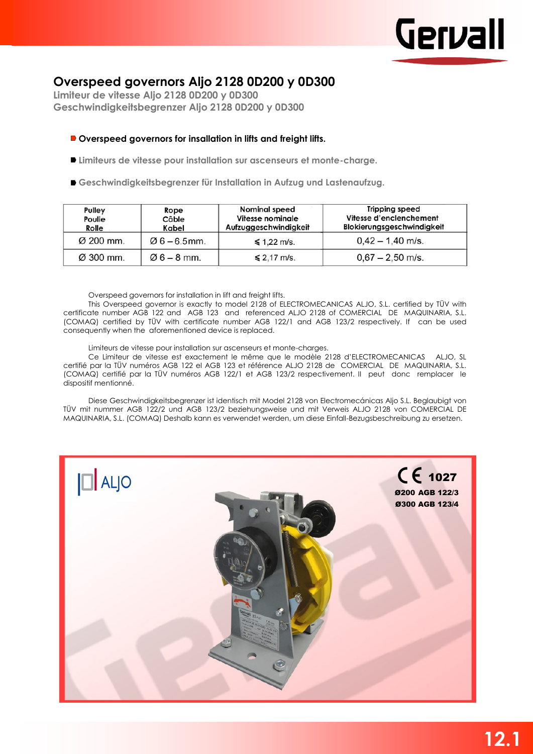## **Overspeed governors Aljo 2128 0D200 y 0D300**

**Limiteur de vitesse Aljo 2128 0D200 y 0D300 Geschwindigkeitsbegrenzer Aljo 2128 0D200 y 0D300**

## **Overspeed governors for insallation in lifts and freight lifts.**

- **Limiteurs de vitesse pour installation sur ascenseurs et monte-charge.**
- **Geschwindigkeitsbegrenzer für Installation in Aufzug und Lastenaufzug.**

| Pulley<br>Rope<br>Poulie<br>Câble<br>Rolle<br>Kabel |                | <b>Nominal speed</b><br>Vitesse nominale<br>Aufzuggeschwindigkeit | <b>Tripping speed</b><br>Vitesse d'enclenchement<br><b>Blokierungsgeschwindigkeit</b> |  |  |
|-----------------------------------------------------|----------------|-------------------------------------------------------------------|---------------------------------------------------------------------------------------|--|--|
| Ø 200 mm.                                           | $06 - 6.5$ mm. | $\leq 1.22$ m/s.                                                  | $0,42 - 1,40$ m/s.                                                                    |  |  |
| Ø 300 mm.                                           | $06 - 8$ mm.   | $\leq 2.17$ m/s.                                                  | $0,67 - 2,50$ m/s.                                                                    |  |  |

Overspeed governors for installation in lift and freight lifts.

This Overspeed governor is exactly to model 2128 of ELECTROMECANICAS ALJO, S.L. certified by TÜV with certificate number AGB 122 and AGB 123 and referenced ALJO 2128 of COMERCIAL DE MAQUINARIA, S.L. (COMAQ) certified by TÜV with certificate number AGB 122/1 and AGB 123/2 respectively. If can be used consequently when the aforementioned device is replaced.

Limiteurs de vitesse pour installation sur ascenseurs et monte-charges.

Ce Limiteur de vitesse est exactement le même que le modèle 2128 d'ELECTROMECANICAS ALJO, SL certifié par la TÜV numéros AGB 122 el AGB 123 et référence ALJO 2128 de COMERCIAL DE MAQUINARIA, S.L. (COMAQ) certifié par la TÜV numéros AGB 122/1 et AGB 123/2 respectivement. II peut donc remplacer le dispositif mentionné.

Diese Geschwindigkeitsbegrenzer ist identisch mit Model 2128 von Electromecánicas Aljo S.L. Beglaubigt von TÜV mit nummer AGB 122/2 und AGB 123/2 beziehungsweise und mit Verweis ALJO 2128 von COMERCIAL DE MAQUINARIA, S.L. (COMAQ) Deshalb kann es verwendet werden, um diese Einfall-Bezugsbeschreibung zu ersetzen.